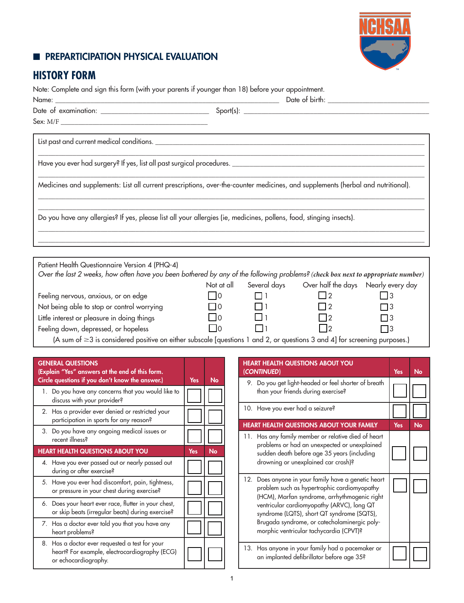## **EDIMPREPARTICIPATION PHYSICAL EVALUATION**



# **HISTORY FORM**

Note: Complete and sign this form (with your parents if younger than 18) before your appointment.

| Sex: M/F                                                                                                                                                                           |      |          |                                                             |  |
|------------------------------------------------------------------------------------------------------------------------------------------------------------------------------------|------|----------|-------------------------------------------------------------|--|
|                                                                                                                                                                                    |      |          |                                                             |  |
|                                                                                                                                                                                    |      |          |                                                             |  |
| Medicines and supplements: List all current prescriptions, over-the-counter medicines, and supplements (herbal and nutritional).                                                   |      |          |                                                             |  |
| Do you have any allergies? If yes, please list all your allergies (ie, medicines, pollens, food, stinging insects).                                                                |      |          |                                                             |  |
|                                                                                                                                                                                    |      |          |                                                             |  |
| Patient Health Questionnaire Version 4 (PHQ-4)<br>Over the last 2 weeks, how often have you been bothered by any of the following problems? (check box next to appropriate number) |      |          |                                                             |  |
|                                                                                                                                                                                    |      |          | Not at all Several days Over half the days Nearly every day |  |
| Feeling nervous, anxious, or on edge                                                                                                                                               | l 10 | $\Box$ 1 | $\vert$ 2                                                   |  |
| Not being able to stop or control worrying                                                                                                                                         |      |          |                                                             |  |

| $\Box$ into being able to stop or control worrying |  |  |
|----------------------------------------------------|--|--|
| Little interest or pleasure in doing things        |  |  |

Feeling down, depressed, or hopeless  $\Box$  0  $\Box$  1  $\Box$  2  $\Box$  3

(A sum of ≥3 is considered positive on either subscale [questions 1 and 2, or questions 3 and 4] for screening purposes.)

| <b>GENERAL QUESTIONS</b><br>(Explain "Yes" answers at the end of this form.<br>Circle questions if you don't know the answer.) | Yes | No        |
|--------------------------------------------------------------------------------------------------------------------------------|-----|-----------|
| 1. Do you have any concerns that you would like to<br>discuss with your provider?                                              |     |           |
| 2. Has a provider ever denied or restricted your<br>participation in sports for any reason?                                    |     |           |
| 3. Do you have any ongoing medical issues or<br>recent illness?                                                                |     |           |
| <b>HEART HEALTH QUESTIONS ABOUT YOU</b>                                                                                        | Yes | <b>No</b> |
| 4. Have you ever passed out or nearly passed out<br>during or after exercise?                                                  |     |           |
| 5. Have you ever had discomfort, pain, tightness,<br>or pressure in your chest during exercise?                                |     |           |
| 6. Does your heart ever race, flutter in your chest,<br>or skip beats (irregular beats) during exercise?                       |     |           |
| 7. Has a doctor ever told you that you have any<br>heart problems?                                                             |     |           |
| 8. Has a doctor ever requested a test for your<br>heart? For example, electrocardiography (ECG)<br>or echocardiography.        |     |           |

| <b>HEART HEALTH QUESTIONS ABOUT YOU</b><br>(CONTINUED)                                                                                                                                                                                                                                                                                    | Yes | No |
|-------------------------------------------------------------------------------------------------------------------------------------------------------------------------------------------------------------------------------------------------------------------------------------------------------------------------------------------|-----|----|
| 9. Do you get light-headed or feel shorter of breath<br>than your friends during exercise?                                                                                                                                                                                                                                                |     |    |
| 10. Have you ever had a seizure?                                                                                                                                                                                                                                                                                                          |     |    |
| <b>HEART HEALTH QUESTIONS ABOUT YOUR FAMILY</b>                                                                                                                                                                                                                                                                                           | Yes | No |
| 11. Has any family member or relative died of heart<br>problems or had an unexpected or unexplained<br>sudden death before age 35 years (including<br>drowning or unexplained car crash)?                                                                                                                                                 |     |    |
| 12. Does anyone in your family have a genetic heart<br>problem such as hypertrophic cardiomyopathy<br>(HCM), Marfan syndrome, arrhythmogenic right<br>ventricular cardiomyopathy (ARVC), long QT<br>syndrome (LQTS), short QT syndrome (SQTS),<br>Brugada syndrome, or catecholaminergic poly-<br>morphic ventricular tachycardia (CPVT)? |     |    |
| 13. Has anyone in your family had a pacemaker or<br>an implanted defibrillator before age 35?                                                                                                                                                                                                                                             |     |    |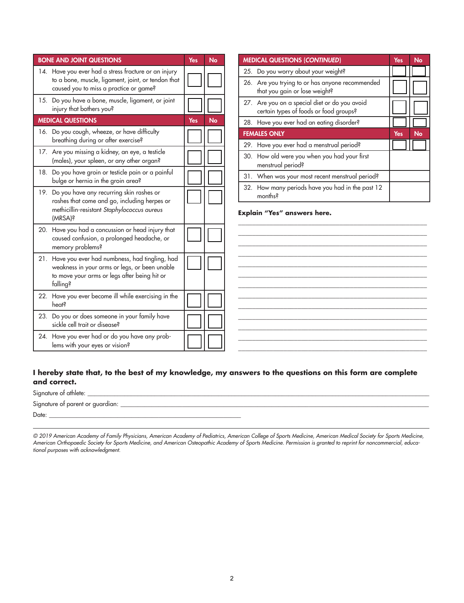|                          | <b>BONE AND JOINT QUESTIONS</b>                                                                                                                      | <b>Yes</b> | No | <b>MEDICAL QUESTIONS (CONTINUED)</b>                                                                                    | Yes | No |
|--------------------------|------------------------------------------------------------------------------------------------------------------------------------------------------|------------|----|-------------------------------------------------------------------------------------------------------------------------|-----|----|
|                          | 14. Have you ever had a stress fracture or an injury<br>to a bone, muscle, ligament, joint, or tendon that<br>caused you to miss a practice or game? |            |    | 25. Do you worry about your weight?<br>26. Are you trying to or has anyone recommended<br>that you gain or lose weight? |     |    |
|                          | 15. Do you have a bone, muscle, ligament, or joint<br>injury that bothers you?                                                                       |            |    | 27. Are you on a special diet or do you avoid<br>certain types of foods or food groups?                                 |     |    |
| <b>MEDICAL QUESTIONS</b> |                                                                                                                                                      | <b>Yes</b> | No | 28. Have you ever had an eating disorder?                                                                               |     |    |
|                          | 16. Do you cough, wheeze, or have difficulty<br>breathing during or after exercise?                                                                  |            |    | <b>FEMALES ONLY</b>                                                                                                     | Yes | No |
|                          | 17. Are you missing a kidney, an eye, a testicle<br>(males), your spleen, or any other organ?                                                        |            |    | 29. Have you ever had a menstrual period?<br>30. How old were you when you had your first<br>menstrual period?          |     |    |
|                          | 18. Do you have groin or testicle pain or a painful<br>bulge or hernia in the groin area?                                                            |            |    | 31. When was your most recent menstrual period?                                                                         |     |    |
| (MRSA)?                  | 19. Do you have any recurring skin rashes or<br>rashes that come and go, including herpes or<br>methicillin-resistant Staphylococcus aureus          |            |    | 32. How many periods have you had in the past 12<br>months?<br>Explain "Yes" answers here.                              |     |    |
|                          | 20. Have you had a concussion or head injury that<br>caused confusion, a prolonged headache, or<br>memory problems?                                  |            |    |                                                                                                                         |     |    |
| falling?                 | 21. Have you ever had numbness, had tingling, had<br>weakness in your arms or legs, or been unable<br>to move your arms or legs after being hit or   |            |    |                                                                                                                         |     |    |
| <b>heats</b>             | 22. Have you ever become ill while exercising in the                                                                                                 |            |    |                                                                                                                         |     |    |
|                          | 23. Do you or does someone in your family have<br>sickle cell trait or disease?                                                                      |            |    |                                                                                                                         |     |    |
|                          | 24. Have you ever had or do you have any prob-<br>lems with your eyes or vision?                                                                     |            |    |                                                                                                                         |     |    |

#### **I hereby state that, to the best of my knowledge, my answers to the questions on this form are complete and correct.**

| Signature of athlete:            |  |
|----------------------------------|--|
| Signature of parent or guardian: |  |
| Date:                            |  |

*© 2019 American Academy of Family Physicians, American Academy of Pediatrics, American College of Sports Medicine, American Medical Society for Sports Medicine, American Orthopaedic Society for Sports Medicine, and American Osteopathic Academy of Sports Medicine. Permission is granted to reprint for noncommercial, educational purposes with acknowledgment.*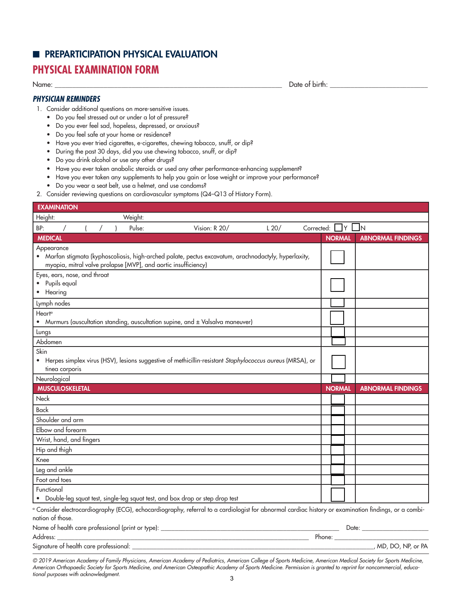### **E** PREPARTICIPATION PHYSICAL EVALUATION

## **PHYSICAL EXAMINATION FORM**

Name: \_\_\_\_\_\_\_\_\_\_\_\_\_\_\_\_\_\_\_\_\_\_\_\_\_\_\_\_\_\_\_\_\_\_\_\_\_\_\_\_\_\_\_\_\_\_\_\_\_\_\_\_\_\_\_\_\_\_\_\_\_\_\_\_\_ Date of birth: \_\_\_\_\_\_\_\_\_\_\_\_\_\_\_\_\_\_\_\_\_\_\_\_\_\_\_\_

#### *PHYSICIAN REMINDERS*

- 1. Consider additional questions on more-sensitive issues.
	- Do you feel stressed out or under a lot of pressure?
	- Do you ever feel sad, hopeless, depressed, or anxious?
	- Do you feel safe at your home or residence?
	- Have you ever tried cigarettes, e-cigarettes, chewing tobacco, snuff, or dip?
	- During the past 30 days, did you use chewing tobacco, snuff, or dip?
	- Do you drink alcohol or use any other drugs?
	- Have you ever taken anabolic steroids or used any other performance-enhancing supplement?
	- Have you ever taken any supplements to help you gain or lose weight or improve your performance?
	- Do you wear a seat belt, use a helmet, and use condoms?
- 2. Consider reviewing questions on cardiovascular symptoms (Q4–Q13 of History Form).

| <b>EXAMINATION</b>                                                           |         |                                                                                                                                                                 |      |            |               |     |                          |
|------------------------------------------------------------------------------|---------|-----------------------------------------------------------------------------------------------------------------------------------------------------------------|------|------------|---------------|-----|--------------------------|
| Height:                                                                      | Weight: |                                                                                                                                                                 |      |            |               |     |                          |
| BP:                                                                          | Pulse:  | Vision: R 20/                                                                                                                                                   | L20/ | Corrected: |               | IY. | IΝ                       |
| <b>MEDICAL</b>                                                               |         |                                                                                                                                                                 |      |            | <b>NORMAL</b> |     | <b>ABNORMAL FINDINGS</b> |
| Appearance<br>myopia, mitral valve prolapse [MVP], and aortic insufficiency) |         | • Marfan stigmata (kyphoscoliosis, high-arched palate, pectus excavatum, arachnodactyly, hyperlaxity,                                                           |      |            |               |     |                          |
| Eyes, ears, nose, and throat<br>Pupils equal<br>• Hearing                    |         |                                                                                                                                                                 |      |            |               |     |                          |
| Lymph nodes                                                                  |         |                                                                                                                                                                 |      |            |               |     |                          |
| Heart <sup>a</sup>                                                           |         | • Murmurs (auscultation standing, auscultation supine, and ± Valsalva maneuver)                                                                                 |      |            |               |     |                          |
| Lungs                                                                        |         |                                                                                                                                                                 |      |            |               |     |                          |
| Abdomen                                                                      |         |                                                                                                                                                                 |      |            |               |     |                          |
| Skin<br>tinea corporis                                                       |         | • Herpes simplex virus (HSV), lesions suggestive of methicillin-resistant Staphylococcus aureus (MRSA), or                                                      |      |            |               |     |                          |
| Neurological                                                                 |         |                                                                                                                                                                 |      |            |               |     |                          |
| <b>MUSCULOSKELETAL</b>                                                       |         |                                                                                                                                                                 |      |            | <b>NORMAL</b> |     | <b>ABNORMAL FINDINGS</b> |
|                                                                              |         |                                                                                                                                                                 |      |            |               |     |                          |
| <b>Neck</b>                                                                  |         |                                                                                                                                                                 |      |            |               |     |                          |
| <b>Back</b>                                                                  |         |                                                                                                                                                                 |      |            |               |     |                          |
| Shoulder and arm                                                             |         |                                                                                                                                                                 |      |            |               |     |                          |
| Elbow and forearm                                                            |         |                                                                                                                                                                 |      |            |               |     |                          |
| Wrist, hand, and fingers                                                     |         |                                                                                                                                                                 |      |            |               |     |                          |
| Hip and thigh                                                                |         |                                                                                                                                                                 |      |            |               |     |                          |
| Knee                                                                         |         |                                                                                                                                                                 |      |            |               |     |                          |
| Leg and ankle                                                                |         |                                                                                                                                                                 |      |            |               |     |                          |
| Foot and toes                                                                |         |                                                                                                                                                                 |      |            |               |     |                          |
| Functional                                                                   |         | • Double-leg squat test, single-leg squat test, and box drop or step drop test                                                                                  |      |            |               |     |                          |
| nation of those.                                                             |         | <sup>a</sup> Consider electrocardiography (ECG), echocardiography, referral to a cardiologist for abnormal cardiac history or examination findings, or a combi- |      |            |               |     |                          |
|                                                                              |         |                                                                                                                                                                 |      |            |               |     |                          |
| Address:                                                                     |         |                                                                                                                                                                 |      |            |               |     |                          |

*© 2019 American Academy of Family Physicians, American Academy of Pediatrics, American College of Sports Medicine, American Medical Society for Sports Medicine, American Orthopaedic Society for Sports Medicine, and American Osteopathic Academy of Sports Medicine. Permission is granted to reprint for noncommercial, educational purposes with acknowledgment.*